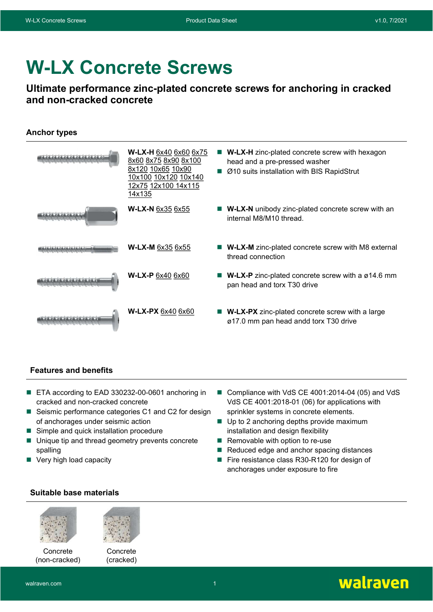# W-LX Concrete Screws

# Ultimate performance zinc-plated concrete screws for anchoring in cracked and non-cracked concrete

### Anchor types

| W-LX-H 6x40 6x60 6x75<br>8x60 8x75 8x90 8x100<br>8x120 10x65 10x90<br>10x100 10x120 10x140<br>12x75 12x100 14x115<br>14x135 | <b>W-LX-H</b> zinc-plated concrete screw with hexagon<br>head and a pre-pressed washer<br>Ø10 suits installation with BIS RapidStrut |
|-----------------------------------------------------------------------------------------------------------------------------|--------------------------------------------------------------------------------------------------------------------------------------|
| <b>W-LX-N 6x35 6x55</b>                                                                                                     | <b>W-LX-N</b> unibody zinc-plated concrete screw with an<br>internal M8/M10 thread.                                                  |
| W-LX-M 6x35 6x55                                                                                                            | <b>W-LX-M</b> zinc-plated concrete screw with M8 external<br>thread connection                                                       |
| <b>W-LX-P 6x40 6x60</b>                                                                                                     | <b>W-LX-P</b> zinc-plated concrete screw with a $\varnothing$ 14.6 mm<br>pan head and torx T30 drive                                 |
| W-LX-PX 6x40 6x60                                                                                                           | <b>W-LX-PX</b> zinc-plated concrete screw with a large<br>ø17.0 mm pan head andd torx T30 drive                                      |

#### Features and benefits

- ETA according to EAD 330232-00-0601 anchoring in cracked and non-cracked concrete
- Seismic performance categories C1 and C2 for design of anchorages under seismic action
- Simple and quick installation procedure
- Unique tip and thread geometry prevents concrete spalling
- Very high load capacity
- Compliance with VdS CE 4001:2014-04 (05) and VdS VdS CE 4001:2018-01 (06) for applications with sprinkler systems in concrete elements.
- Up to 2 anchoring depths provide maximum installation and design flexibility
- $\blacksquare$  Removable with option to re-use
- Reduced edge and anchor spacing distances
- Fire resistance class R30-R120 for design of anchorages under exposure to fire

## Suitable base materials



**Concrete** (non-cracked)





(cracked)

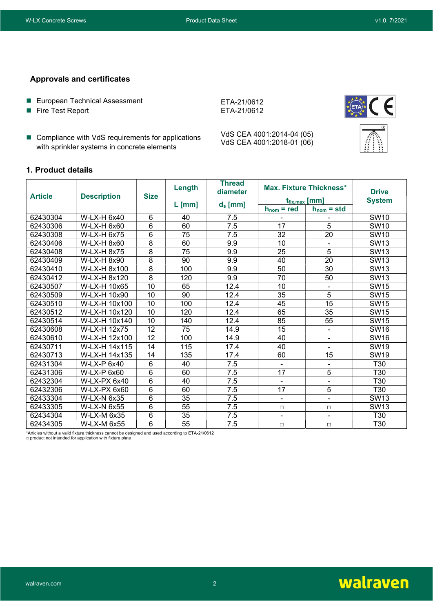#### Approvals and certificates

- **European Technical Assessment**
- **Fire Test Report**
- Compliance with VdS requirements for applications with sprinkler systems in concrete elements

VdS CEA 4001:2014-04 (05) VdS CEA 4001:2018-01 (06)

ETA-21/0612 ETA-21/0612



#### 1. Product details

| <b>Article</b> |                    | <b>Size</b>    | Length   | <b>Thread</b><br>diameter |                          | <b>Max. Fixture Thickness*</b> | <b>Drive</b>     |
|----------------|--------------------|----------------|----------|---------------------------|--------------------------|--------------------------------|------------------|
|                | <b>Description</b> |                |          |                           | $t_{fix,max}$ [mm]       |                                | <b>System</b>    |
|                |                    |                | $L$ [mm] | $d_s$ [mm]                | $h_{nom}$ = red          | $h_{nom} = std$                |                  |
| 62430304       | W-LX-H 6x40        | 6              | 40       | 7.5                       |                          |                                | <b>SW10</b>      |
| 62430306       | W-LX-H 6x60        | $6\phantom{1}$ | 60       | 7.5                       | 17                       | 5                              | <b>SW10</b>      |
| 62430308       | <b>W-LX-H 6x75</b> | 6              | 75       | 7.5                       | 32                       | 20                             | <b>SW10</b>      |
| 62430406       | W-LX-H 8x60        | 8              | 60       | 9.9                       | 10                       | $\blacksquare$                 | <b>SW13</b>      |
| 62430408       | <b>W-LX-H 8x75</b> | 8              | 75       | 9.9                       | 25                       | 5                              | <b>SW13</b>      |
| 62430409       | W-LX-H 8x90        | 8              | 90       | 9.9                       | 40                       | $\overline{20}$                | <b>SW13</b>      |
| 62430410       | W-LX-H 8x100       | 8              | 100      | 9.9                       | 50                       | 30                             | <b>SW13</b>      |
| 62430412       | W-LX-H 8x120       | 8              | 120      | 9.9                       | 70                       | 50                             | <b>SW13</b>      |
| 62430507       | W-LX-H 10x65       | 10             | 65       | 12.4                      | 10                       | $\overline{\phantom{a}}$       | <b>SW15</b>      |
| 62430509       | W-LX-H 10x90       | 10             | 90       | 12.4                      | 35                       | 5                              | <b>SW15</b>      |
| 62430510       | W-LX-H 10x100      | 10             | 100      | 12.4                      | 45                       | 15                             | <b>SW15</b>      |
| 62430512       | W-LX-H 10x120      | 10             | 120      | 12.4                      | 65                       | 35                             | <b>SW15</b>      |
| 62430514       | W-LX-H 10x140      | 10             | 140      | 12.4                      | 85                       | 55                             | <b>SW15</b>      |
| 62430608       | W-LX-H 12x75       | 12             | 75       | 14.9                      | 15                       | ä,                             | <b>SW16</b>      |
| 62430610       | W-LX-H 12x100      | 12             | 100      | 14.9                      | 40                       | $\overline{\phantom{a}}$       | <b>SW16</b>      |
| 62430711       | W-LX-H 14x115      | 14             | 115      | 17.4                      | 40                       | ۰                              | <b>SW19</b>      |
| 62430713       | W-LX-H 14x135      | 14             | 135      | 17.4                      | 60                       | 15                             | SW <sub>19</sub> |
| 62431304       | W-LX-P 6x40        | $6\phantom{1}$ | 40       | 7.5                       | $\blacksquare$           | $\blacksquare$                 | T30              |
| 62431306       | W-LX-P 6x60        | 6              | 60       | 7.5                       | 17                       | 5                              | T30              |
| 62432304       | W-LX-PX 6x40       | 6              | 40       | 7.5                       | $\overline{\phantom{a}}$ | $\blacksquare$                 | T30              |
| 62432306       | W-LX-PX 6x60       | 6              | 60       | 7.5                       | 17                       | 5                              | T30              |
| 62433304       | <b>W-LX-N 6x35</b> | 6              | 35       | 7.5                       | $\blacksquare$           | $\overline{\phantom{a}}$       | <b>SW13</b>      |
| 62433305       | <b>W-LX-N 6x55</b> | 6              | 55       | 7.5                       | $\Box$                   | $\Box$                         | <b>SW13</b>      |
| 62434304       | W-LX-M 6x35        | 6              | 35       | 7.5                       | $\blacksquare$           | $\blacksquare$                 | T30              |
| 62434305       | W-LX-M 6x55        | 6              | 55       | 7.5                       | $\Box$                   | $\Box$                         | T30              |

\*Articles without a valid fixture thickness cannot be designed and used according to ETA-21/0612 □ product not intended for application with fixture plate

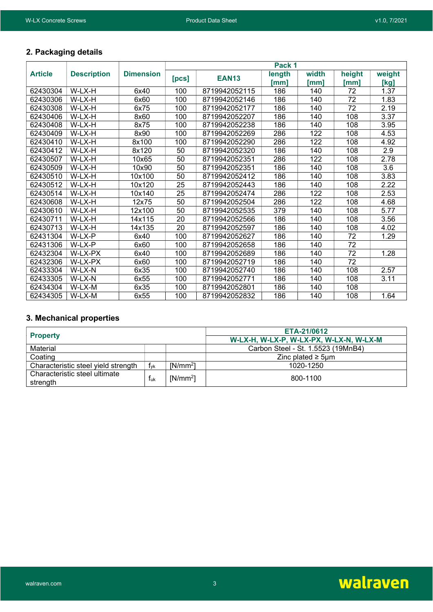## 2. Packaging details

|                |                    |                  |       |               | Pack 1         |               |                |                |
|----------------|--------------------|------------------|-------|---------------|----------------|---------------|----------------|----------------|
| <b>Article</b> | <b>Description</b> | <b>Dimension</b> | [PCs] | <b>EAN13</b>  | length<br>[mm] | width<br>[mm] | height<br>ˈmm] | weight<br>[kg] |
| 62430304       | W-LX-H             | 6x40             | 100   | 8719942052115 | 186            | 140           | 72             | 1.37           |
| 62430306       | W-LX-H             | 6x60             | 100   | 8719942052146 | 186            | 140           | 72             | 1.83           |
| 62430308       | W-LX-H             | 6x75             | 100   | 8719942052177 | 186            | 140           | 72             | 2.19           |
| 62430406       | W-LX-H             | 8x60             | 100   | 8719942052207 | 186            | 140           | 108            | 3.37           |
| 62430408       | W-LX-H             | 8x75             | 100   | 8719942052238 | 186            | 140           | 108            | 3.95           |
| 62430409       | W-LX-H             | 8x90             | 100   | 8719942052269 | 286            | 122           | 108            | 4.53           |
| 62430410       | W-LX-H             | 8x100            | 100   | 8719942052290 | 286            | 122           | 108            | 4.92           |
| 62430412       | W-LX-H             | 8x120            | 50    | 8719942052320 | 186            | 140           | 108            | 2.9            |
| 62430507       | W-LX-H             | 10x65            | 50    | 8719942052351 | 286            | 122           | 108            | 2.78           |
| 62430509       | W-LX-H             | 10x90            | 50    | 8719942052351 | 186            | 140           | 108            | 3.6            |
| 62430510       | W-LX-H             | 10x100           | 50    | 8719942052412 | 186            | 140           | 108            | 3.83           |
| 62430512       | W-LX-H             | 10x120           | 25    | 8719942052443 | 186            | 140           | 108            | 2.22           |
| 62430514       | W-LX-H             | 10x140           | 25    | 8719942052474 | 286            | 122           | 108            | 2.53           |
| 62430608       | W-LX-H             | 12x75            | 50    | 8719942052504 | 286            | 122           | 108            | 4.68           |
| 62430610       | W-LX-H             | 12x100           | 50    | 8719942052535 | 379            | 140           | 108            | 5.77           |
| 62430711       | W-LX-H             | 14x115           | 20    | 8719942052566 | 186            | 140           | 108            | 3.56           |
| 62430713       | W-LX-H             | 14x135           | 20    | 8719942052597 | 186            | 140           | 108            | 4.02           |
| 62431304       | W-LX-P             | 6x40             | 100   | 8719942052627 | 186            | 140           | 72             | 1.29           |
| 62431306       | W-LX-P             | 6x60             | 100   | 8719942052658 | 186            | 140           | 72             |                |
| 62432304       | W-LX-PX            | 6x40             | 100   | 8719942052689 | 186            | 140           | 72             | 1.28           |
| 62432306       | W-LX-PX            | 6x60             | 100   | 8719942052719 | 186            | 140           | 72             |                |
| 62433304       | W-LX-N             | 6x35             | 100   | 8719942052740 | 186            | 140           | 108            | 2.57           |
| 62433305       | W-LX-N             | 6x55             | 100   | 8719942052771 | 186            | 140           | 108            | 3.11           |
| 62434304       | W-LX-M             | 6x35             | 100   | 8719942052801 | 186            | 140           | 108            |                |
| 62434305       | W-LX-M             | 6x55             | 100   | 8719942052832 | 186            | 140           | 108            | 1.64           |

# 3. Mechanical properties

|                                     |                 |            | ETA-21/0612                             |
|-------------------------------------|-----------------|------------|-----------------------------------------|
| <b>Property</b>                     |                 |            | W-LX-H, W-LX-P, W-LX-PX, W-LX-N, W-LX-M |
| Material                            |                 |            | Carbon Steel - St. 1.5523 (19MnB4)      |
| Coating                             |                 |            | Zinc plated $\geq$ 5µm                  |
| Characteristic steel yield strength | f <sub>vk</sub> | $[N/mm^2]$ | 1020-1250                               |
| Characteristic steel ultimate       | Ťuk             | $[N/mm^2]$ | 800-1100                                |
| strength                            |                 |            |                                         |

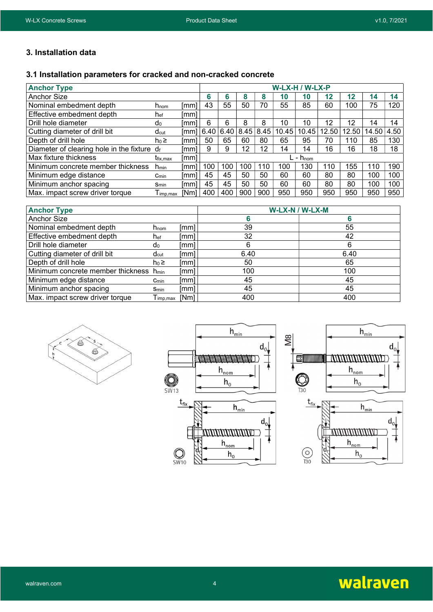#### 3. Installation data

#### 3.1 Installation parameters for cracked and non-cracked concrete

| <b>Anchor Type</b>                          |                             |                  | W-LX-H / W-LX-P |      |        |      |       |                      |       |         |       |      |
|---------------------------------------------|-----------------------------|------------------|-----------------|------|--------|------|-------|----------------------|-------|---------|-------|------|
| <b>Anchor Size</b>                          |                             |                  | 6               | 6    | o<br>ō | 8    | 10    | 10                   | 12    | $12 \,$ | 14    | 14   |
| Nominal embedment depth                     | $h_{\text{nom}}$            | lmml             | 43              | 55   | 50     | 70   | 55    | 85                   | 60    | 100     | 75    | 120  |
| Effective embedment depth                   | h <sub>ef</sub>             | [mm]             |                 |      |        |      |       |                      |       |         |       |      |
| Drill hole diameter                         | d <sub>0</sub>              | [mm              | 6               | 6    | 8      | 8    | 10    | 10                   | 12    | 12      | 14    | 14   |
| Cutting diameter of drill bit               | $d_{\text{cut}}$            | lmml             | 6.40            | 6.40 | 8.45   | 8.45 | 10.45 | 10.45                | 12.50 | 12.50   | 14.50 | 4.50 |
| Depth of drill hole                         | $h_0 \geq$                  | [mm]             | 50              | 65   | 60     | 80   | 65    | 95                   | 70    | 110     | 85    | 130  |
| Diameter of clearing hole in the fixture df |                             | [mm]             | 9               | 9    | 12     | 12   | 14    | 14                   | 16    | 16      | 18    | 18   |
| Max fixture thickness                       | <b>t</b> <sub>fix.max</sub> | [mm]             |                 |      |        |      |       | . - h <sub>nom</sub> |       |         |       |      |
| Minimum concrete member thickness           | $n_{min}$                   | lmm <sup>.</sup> | 100             | 100  | 100    | 110  | 100   | 130                  | 110   | 155     | 110   | 190  |
| Minimum edge distance                       | $C_{min}$                   | [mm]             | 45              | 45   | 50     | 50   | 60    | 60                   | 80    | 80      | 100   | 100  |
| Minimum anchor spacing                      | $S_{min}$                   | [mm]             | 45              | 45   | 50     | 50   | 60    | 60                   | 80    | 80      | 100   | 100  |
| Max. impact screw driver torque             | $\Gamma$ <sub>imp.max</sub> | [Nm]             | 400             | 400  | 900    | 900  | 950   | 950                  | 950   | 950     | 950   | 950  |

| <b>Anchor Type</b>                |                           |      | W-LX-N / W-LX-M |      |  |  |  |  |
|-----------------------------------|---------------------------|------|-----------------|------|--|--|--|--|
| Anchor Size                       |                           |      | b               |      |  |  |  |  |
| Nominal embedment depth           | $n_{\text{nom}}$          | [mm] | 39              | 55   |  |  |  |  |
| Effective embedment depth         | n <sub>ef</sub>           | [mm] | 32              | 42   |  |  |  |  |
| Drill hole diameter               | d <sub>0</sub>            | [mm] | 6               | 6    |  |  |  |  |
| Cutting diameter of drill bit     | $d_{\text{cut}}$          | Imml | 6.40            | 6.40 |  |  |  |  |
| Depth of drill hole               | $ho \geq$                 | [mm] | 50              | 65   |  |  |  |  |
| Minimum concrete member thickness | <b>n</b> <sub>min</sub>   | [mm] | 100             | 100  |  |  |  |  |
| Minimum edge distance             | $C_{min}$                 | [mm] | 45              | 45   |  |  |  |  |
| Minimum anchor spacing            | Smin                      | [mm] | 45              | 45   |  |  |  |  |
| Max. impact screw driver torque   | $\mathsf{\Gamma}$ imp,max | [Nm] | 400             | 400  |  |  |  |  |







 $h_{\text{nom}}$ 

 $h_0$ 

 $\bigodot$ <br>T30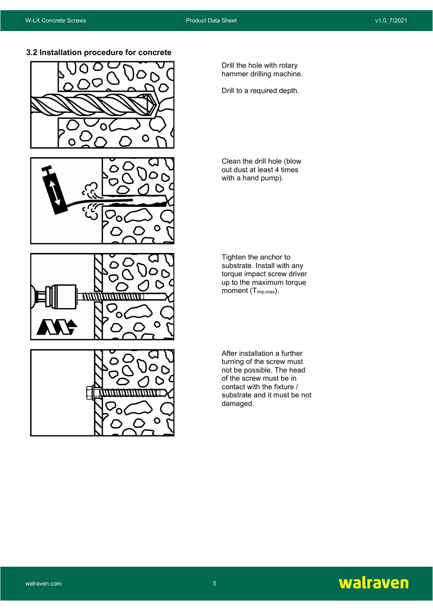3.2 Installation procedure for concrete









Drill the hole with rotary hammer drilling machine.

Drill to a required depth.

Clean the drill hole (blow out dust at least 4 times with a hand pump).

Tighten the anchor to substrate. Install with any torque impact screw driver up to the maximum torque moment  $(T_{imp,max})$ .

After installation a further turning of the screw must not be possible. The head of the screw must be in contact with the fixture / substrate and it must be not damaged.

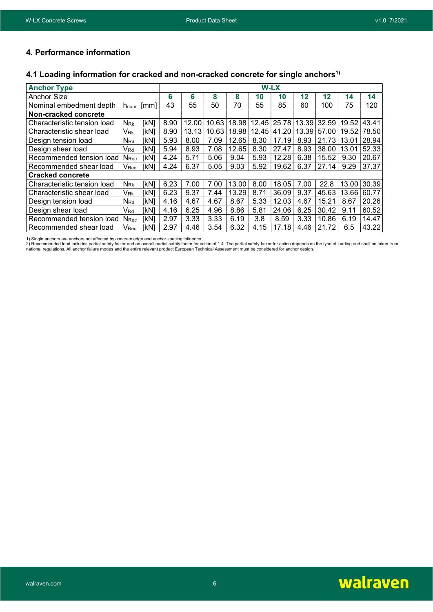### 4. Performance information

#### 4.1 Loading information for cracked and non-cracked concrete for single anchors<sup>1)</sup>

| <b>Anchor Type</b>          |                           |             |      |       |       |       | W-LX  |       |       |       |       |       |
|-----------------------------|---------------------------|-------------|------|-------|-------|-------|-------|-------|-------|-------|-------|-------|
| <b>Anchor Size</b>          |                           |             | 6    | 6     | 8     | 8     | 10    | 10    | 12    | 12    | 14    | 14    |
| Nominal embedment depth     | $n_{\text{nom}}$          | mm          | 43   | 55    | 50    | 70    | 55    | 85    | 60    | 100   | 75    | 120   |
| Non-cracked concrete        |                           |             |      |       |       |       |       |       |       |       |       |       |
| Characteristic tension load | $N_{\rm Rk}$              | [kN]        | 8.90 | 12.00 | 10.63 | 18.98 | 12.45 | 25.78 | 13.39 | 32.59 | 19.52 | 43.41 |
| Characteristic shear load   | Vrk                       | [kN]        | 8.90 | 13.13 | 10.63 | 18.98 | 12.45 | 41.20 | 13.39 | 57.00 | 19.52 | 78.50 |
| Design tension load         | $N_{Rd}$                  | [kN]        | 5.93 | 8.00  | 7.09  | 12.65 | 8.30  | 17.19 | 8.93  | 21.73 | 13.01 | 28.94 |
| Design shear load           | V <sub>Rd</sub>           | [kN]        | 5.94 | 8.93  | 7.08  | 12.65 | 8.30  | 27.47 | 8.93  | 38.00 | 13.01 | 52.33 |
| Recommended tension load    | <b>N</b> <sub>Rec</sub>   | [kN]        | 4.24 | 5.71  | 5.06  | 9.04  | 5.93  | 12.28 | 6.38  | 15.52 | 9.30  | 20.67 |
| Recommended shear load      | $\mathsf{V}_\mathsf{Rec}$ | [kN]        | 4.24 | 6.37  | 5.05  | 9.03  | 5.92  | 19.62 | 6.37  | 27.14 | 9.29  | 37.37 |
| <b>Cracked concrete</b>     |                           |             |      |       |       |       |       |       |       |       |       |       |
| Characteristic tension load | $N_{\rm Rk}$              | <b>IkN1</b> | 6.23 | 7.00  | 7.00  | 13.00 | 8.00  | 18.05 | 7.00  | 22.8  | 13.00 | 30.39 |
| Characteristic shear load   | V <sub>Rk</sub>           | [kN]        | 6.23 | 9.37  | 7.44  | 13.29 | 8.71  | 36.09 | 9.37  | 45.63 | 13.66 | 60.77 |
| Design tension load         | $N_{Rd}$                  | [kN]        | 4.16 | 4.67  | 4.67  | 8.67  | 5.33  | 12.03 | 4.67  | 15.21 | 8.67  | 20.26 |
| Design shear load           | V <sub>Rd</sub>           | [kN]        | 4.16 | 6.25  | 4.96  | 8.86  | 5.81  | 24.06 | 6.25  | 30.42 | 9.11  | 60.52 |
| Recommended tension load    | <b>N</b> <sub>Rec</sub>   | [kN]        | 2.97 | 3.33  | 3.33  | 6.19  | 3.8   | 8.59  | 3.33  | 10.86 | 6.19  | 14.47 |
| Recommended shear load      | $\mathsf{V}_\mathsf{Rec}$ | [kN]        | 2.97 | 4.46  | 3.54  | 6.32  | 4.15  | 17.18 | 4.46  | 21.72 | 6.5   | 43.22 |

1) Single anchors are anchors not affected by concrete edge and anchor spacing influence.<br>2) Recommended load includes partial safety factor and an overall partial safety factor for action of 1.4. The partial safety factor

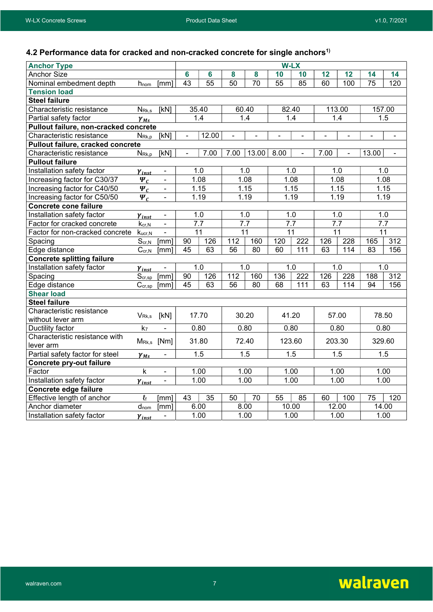# 4.2 Performance data for cracked and non-cracked concrete for single anchors<sup>1)</sup>

| <b>Anchor Type</b>                    |                              |                              |                 |       |                 |                 | <b>W-LX</b>              |                  |                |                   |                 |                |
|---------------------------------------|------------------------------|------------------------------|-----------------|-------|-----------------|-----------------|--------------------------|------------------|----------------|-------------------|-----------------|----------------|
| <b>Anchor Size</b>                    |                              |                              | $6\phantom{a}$  | 6     | 8               | 8               | 10                       | 10               | 12             | 12                | 14              | 14             |
| Nominal embedment depth               | h <sub>nom</sub>             | [mm]                         | 43              | 55    | 50              | 70              | 55                       | 85               | 60             | 100               | 75              | 120            |
| <b>Tension load</b>                   |                              |                              |                 |       |                 |                 |                          |                  |                |                   |                 |                |
| <b>Steel failure</b>                  |                              |                              |                 |       |                 |                 |                          |                  |                |                   |                 |                |
| Characteristic resistance             | $N_{\rm Rk,s}$               | [kN]                         |                 | 35.40 | 60.40           |                 | 82.40                    |                  |                | 113.00            |                 | 157.00         |
| Partial safety factor                 | $\gamma_{Ms}$                |                              |                 | 1.4   |                 | 1.4             | 1.4                      |                  | 1.4            |                   | 1.5             |                |
| Pullout failure, non-cracked concrete |                              |                              |                 |       |                 |                 |                          |                  |                |                   |                 |                |
| Characteristic resistance             | $N_{\mathsf{Rk},p}$          | [kN]                         | $\blacksquare$  | 12.00 | ۰               |                 | $\overline{\phantom{a}}$ | $\blacksquare$   | $\blacksquare$ | $\blacksquare$    | $\blacksquare$  | $\blacksquare$ |
| Pullout failure, cracked concrete     |                              |                              |                 |       |                 |                 |                          |                  |                |                   |                 |                |
| Characteristic resistance             | $N_{\text{Rk},p}$            | $\overline{[kN]}$            | $\blacksquare$  | 7.00  | 7.00            | 13.00           | 8.00                     | $\mathbf{r}$     | 7.00           | $\blacksquare$    | 13.00           | $\blacksquare$ |
| <b>Pullout failure</b>                |                              |                              |                 |       |                 |                 |                          |                  |                |                   |                 |                |
| Installation safety factor            | $\gamma_{inst}$              | $\blacksquare$               |                 | 1.0   |                 | 1.0             | 1.0                      |                  |                | 1.0               |                 | 1.0            |
| Increasing factor for C30/37          | $\Psi_c$                     | $\blacksquare$               |                 | 1.08  |                 | 1.08            | 1.08                     |                  |                | 1.08              |                 | 1.08           |
| Increasing factor for C40/50          | $\Psi_c$                     | $\blacksquare$               |                 | 1.15  |                 | 1.15            |                          | 1.15             |                | 1.15              |                 | 1.15           |
| Increasing factor for C50/50          | $\Psi_c$                     |                              |                 | 1.19  |                 | 1.19            | 1.19                     |                  |                | 1.19              |                 | 1.19           |
| <b>Concrete cone failure</b>          |                              |                              |                 |       |                 |                 |                          |                  |                |                   |                 |                |
| Installation safety factor            | $\gamma_{inst}$              | $\blacksquare$               |                 | 1.0   | 1.0             |                 | 1.0                      |                  | 1.0            |                   | 1.0             |                |
| Factor for cracked concrete           | $K_{cr,N}$                   | ÷,                           |                 | 7.7   | 7.7             |                 | 7.7                      |                  |                | 7.7               |                 | 7.7            |
| Factor for non-cracked concrete       | $k_{ucr,N}$                  | $\blacksquare$               |                 | 11    | 11              |                 | 11                       |                  |                | 11                | 11              |                |
| Spacing                               | $S_{cr,N}$                   | [mm]                         | 90              | 126   | 112             | 160             | 120                      | $\overline{222}$ | 126            | $\overline{228}$  | 165             | 312            |
| Edge distance                         | $\overline{C}_{\text{cr,N}}$ | [mm]                         | $\overline{45}$ | 63    | $\overline{56}$ | $\overline{80}$ | 60                       | 111              | 63             | $\frac{114}{114}$ | $\overline{83}$ | 156            |
| <b>Concrete splitting failure</b>     |                              |                              |                 |       |                 |                 |                          |                  |                |                   |                 |                |
| Installation safety factor            | $\gamma_{inst}$              | $\qquad \qquad \blacksquare$ |                 | 1.0   |                 | 1.0             | 1.0                      |                  |                | 1.0               |                 | 1.0            |
| Spacing                               | $S_{cr,sp}$                  | [mm]                         | 90              | 126   | 112             | 160             | 136                      | $\overline{222}$ | 126            | 228               | 188             | 312            |
| Edge distance                         | $C_{cr,sp}$                  | [mm]                         | 45              | 63    | 56              | 80              | 68                       | 111              | 63             | 114               | 94              | 156            |
| <b>Shear load</b>                     |                              |                              |                 |       |                 |                 |                          |                  |                |                   |                 |                |
| <b>Steel failure</b>                  |                              |                              |                 |       |                 |                 |                          |                  |                |                   |                 |                |
| Characteristic resistance             | $V_{\mathsf{Rk},\mathsf{s}}$ | [kN]                         |                 | 17.70 | 30.20           |                 | 41.20                    |                  |                | 57.00             |                 | 78.50          |
| without lever arm                     |                              |                              |                 |       |                 |                 |                          |                  |                |                   |                 |                |
| Ductility factor                      | k <sub>7</sub>               |                              |                 | 0.80  | 0.80            |                 | 0.80                     |                  |                | 0.80              |                 | 0.80           |
| Characteristic resistance with        |                              | MRk,s [Nm]                   |                 | 31.80 | 72.40           |                 |                          | 123.60           |                | 203.30            |                 | 329.60         |
| lever arm                             |                              |                              |                 |       |                 |                 |                          |                  |                |                   |                 |                |
| Partial safety factor for steel       | $\gamma_{Ms}$                | $\blacksquare$               |                 | 1.5   | 1.5             |                 | 1.5                      |                  |                | 1.5               |                 | 1.5            |
| <b>Concrete pry-out failure</b>       |                              |                              |                 |       |                 |                 |                          |                  |                |                   |                 |                |
| Factor                                | $\mathsf{k}$                 | ÷,                           |                 | 1.00  |                 | 1.00            | 1.00                     |                  | 1.00           |                   | 1.00            |                |
| Installation safety factor            | $\gamma_{inst}$              | $\blacksquare$               |                 | 1.00  |                 | 1.00            | 1.00                     |                  | 1.00           |                   | 1.00            |                |
| Concrete edge failure                 |                              |                              |                 |       |                 |                 |                          |                  |                |                   |                 |                |
| Effective length of anchor            | $\ell_{\rm f}$               | [mm]                         | 43              | 35    | 50              | 70              | 55                       | 85               | 60             | 100               | 75              | 120            |
| Anchor diameter                       | $d_{nom}$                    | [mm]                         |                 | 6.00  | 8.00            |                 |                          | 10.00            |                | 12.00             |                 | 14.00          |
| Installation safety factor            | $\gamma_{inst}$              | $\blacksquare$               |                 | 1.00  |                 | 1.00            | 1.00                     |                  |                | 1.00              |                 | 1.00           |

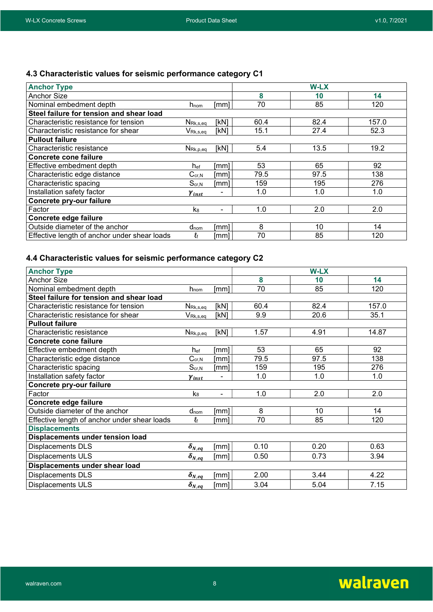# 4.3 Characteristic values for seismic performance category C1

| <b>Anchor Type</b>                           |                                          |      |      | W-LX |       |
|----------------------------------------------|------------------------------------------|------|------|------|-------|
| Anchor Size                                  |                                          |      | 8    | 10   | 14    |
| Nominal embedment depth                      | $h_{\text{nom}}$                         | [mm] | 70   | 85   | 120   |
| Steel failure for tension and shear load     |                                          |      |      |      |       |
| Characteristic resistance for tension        | $N_{\mathsf{Rk},\mathsf{s},\mathsf{eq}}$ | [kN] | 60.4 | 82.4 | 157.0 |
| Characteristic resistance for shear          | $V_{\mathsf{Rk},\mathsf{s},\mathsf{eq}}$ | [kN] | 15.1 | 27.4 | 52.3  |
| <b>Pullout failure</b>                       |                                          |      |      |      |       |
| Characteristic resistance                    | $N_{\mathsf{Rk},\mathsf{p},\mathsf{eq}}$ | [kN] | 5.4  | 13.5 | 19.2  |
| <b>Concrete cone failure</b>                 |                                          |      |      |      |       |
| Effective embedment depth                    | h <sub>ef</sub>                          | [mm] | 53   | 65   | 92    |
| Characteristic edge distance                 | $C_{cr,N}$                               | [mm] | 79.5 | 97.5 | 138   |
| Characteristic spacing                       | $S_{cr,N}$                               | [mm] | 159  | 195  | 276   |
| Installation safety factor                   | Yinst                                    |      | 1.0  | 1.0  | 1.0   |
| Concrete pry-our failure                     |                                          |      |      |      |       |
| Factor                                       | k <sub>8</sub>                           | ۰    | 1.0  | 2.0  | 2.0   |
| Concrete edge failure                        |                                          |      |      |      |       |
| Outside diameter of the anchor               | d <sub>nom</sub>                         | [mm] | 8    | 10   | 14    |
| Effective length of anchor under shear loads | Łf                                       | [mm] | 70   | 85   | 120   |

## 4.4 Characteristic values for seismic performance category C2

| <b>Anchor Type</b>                           |                                                |                |                 | W-LX |       |
|----------------------------------------------|------------------------------------------------|----------------|-----------------|------|-------|
| <b>Anchor Size</b>                           |                                                |                | 8               | 10   | 14    |
| Nominal embedment depth                      | hnom                                           | [mm]           | $\overline{70}$ | 85   | 120   |
| Steel failure for tension and shear load     |                                                |                |                 |      |       |
| Characteristic resistance for tension        | $N_{\mathsf{Rk},s,\underline{eq}}$             | [kN]           | 60.4            | 82.4 | 157.0 |
| Characteristic resistance for shear          | $V_{\mathsf{Rk}, s, \underline{eq}}$           | [kN]           | 9.9             | 20.6 | 35.1  |
| <b>Pullout failure</b>                       |                                                |                |                 |      |       |
| Characteristic resistance                    | $N_{\mathsf{Rk},\underline{p},\underline{eq}}$ | [kN]           | 1.57            | 4.91 | 14.87 |
| <b>Concrete cone failure</b>                 |                                                |                |                 |      |       |
| Effective embedment depth                    | $h_{\mathrm{ef}}$                              | [mm]           | 53              | 65   | 92    |
| Characteristic edge distance                 | $C_{cr,N}$                                     | [mm]           | 79.5            | 97.5 | 138   |
| Characteristic spacing                       | $S_{\text{cr,}N}$                              | [mm]           | 159             | 195  | 276   |
| Installation safety factor                   | $\gamma_{inst}$                                |                | 1.0             | 1.0  | 1.0   |
| Concrete pry-our failure                     |                                                |                |                 |      |       |
| Factor                                       | k <sub>8</sub>                                 | $\blacksquare$ | 1.0             | 2.0  | 2.0   |
| Concrete edge failure                        |                                                |                |                 |      |       |
| Outside diameter of the anchor               | d <sub>nom</sub>                               | [mm]           | 8               | 10   | 14    |
| Effective length of anchor under shear loads | lf                                             | [mm]           | 70              | 85   | 120   |
| <b>Displacements</b>                         |                                                |                |                 |      |       |
| Displacements under tension load             |                                                |                |                 |      |       |
| Displacements DLS                            | $\delta_{N\_eq}$                               | [mm]           | 0.10            | 0.20 | 0.63  |
| Displacements ULS                            | $\delta_{N_eq}$                                | [mm]           | 0.50            | 0.73 | 3.94  |
| Displacements under shear load               |                                                |                |                 |      |       |
| Displacements DLS                            | $\delta_{N,eq}$                                | [mm]           | 2.00            | 3.44 | 4.22  |
| <b>Displacements ULS</b>                     | $\delta_{N_eq}$                                | [mm]           | 3.04            | 5.04 | 7.15  |